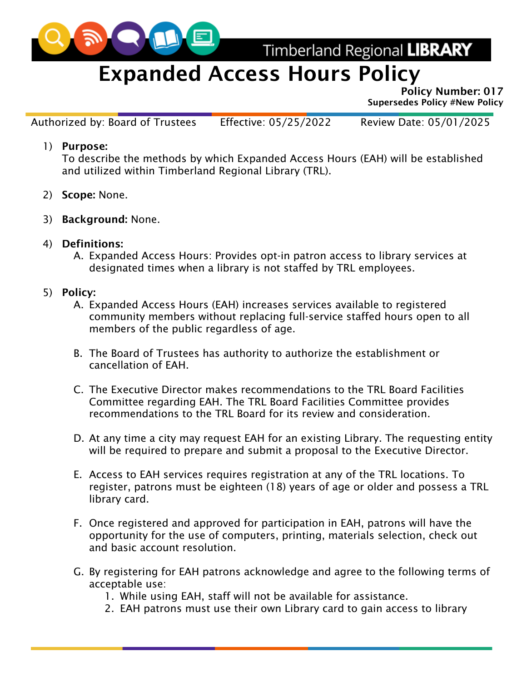

Timberland Regional LIBRARY

## Expanded Access Hours Policy

Policy Number: 017 Supersedes Policy #New Policy

Authorized by: Board of Trustees Effective: 05/25/2022 Review Date: 05/01/2025

1) Purpose:

To describe the methods by which Expanded Access Hours (EAH) will be established and utilized within Timberland Regional Library (TRL).

- 2) Scope: None.
- 3) Background: None.
- 4) Definitions:
	- A. Expanded Access Hours: Provides opt-in patron access to library services at designated times when a library is not staffed by TRL employees.
- 5) Policy:
	- A. Expanded Access Hours (EAH) increases services available to registered community members without replacing full-service staffed hours open to all members of the public regardless of age.
	- B. The Board of Trustees has authority to authorize the establishment or cancellation of EAH.
	- C. The Executive Director makes recommendations to the TRL Board Facilities Committee regarding EAH. The TRL Board Facilities Committee provides recommendations to the TRL Board for its review and consideration.
	- D. At any time a city may request EAH for an existing Library. The requesting entity will be required to prepare and submit a proposal to the Executive Director.
	- E. Access to EAH services requires registration at any of the TRL locations. To register, patrons must be eighteen (18) years of age or older and possess a TRL library card.
	- F. Once registered and approved for participation in EAH, patrons will have the opportunity for the use of computers, printing, materials selection, check out and basic account resolution.
	- G. By registering for EAH patrons acknowledge and agree to the following terms of acceptable use:
		- 1. While using EAH, staff will not be available for assistance.
		- 2. EAH patrons must use their own Library card to gain access to library